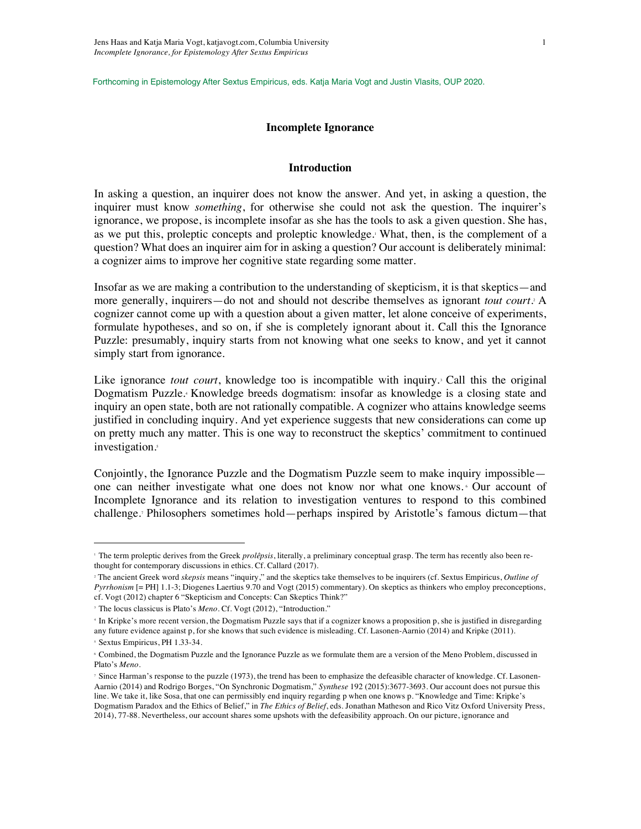Forthcoming in Epistemology After Sextus Empiricus, eds. Katja Maria Vogt and Justin Vlasits, OUP 2020.

### **Incomplete Ignorance**

# **Introduction**

In asking a question, an inquirer does not know the answer. And yet, in asking a question, the inquirer must know *something*, for otherwise she could not ask the question. The inquirer's ignorance, we propose, is incomplete insofar as she has the tools to ask a given question. She has, as we put this, proleptic concepts and proleptic knowledge. What, then, is the complement of a question? What does an inquirer aim for in asking a question? Our account is deliberately minimal: a cognizer aims to improve her cognitive state regarding some matter.

Insofar as we are making a contribution to the understanding of skepticism, it is that skeptics—and more generally, inquirers—do not and should not describe themselves as ignorant *tout court*.2 A cognizer cannot come up with a question about a given matter, let alone conceive of experiments, formulate hypotheses, and so on, if she is completely ignorant about it. Call this the Ignorance Puzzle: presumably, inquiry starts from not knowing what one seeks to know, and yet it cannot simply start from ignorance.

Like ignorance *tout court*, knowledge too is incompatible with inquiry. Call this the original Dogmatism Puzzle.4 Knowledge breeds dogmatism: insofar as knowledge is a closing state and inquiry an open state, both are not rationally compatible. A cognizer who attains knowledge seems justified in concluding inquiry. And yet experience suggests that new considerations can come up on pretty much any matter. This is one way to reconstruct the skeptics' commitment to continued investigation.<sup>5</sup>

Conjointly, the Ignorance Puzzle and the Dogmatism Puzzle seem to make inquiry impossible one can neither investigate what one does not know nor what one knows. <sup>6</sup> Our account of Incomplete Ignorance and its relation to investigation ventures to respond to this combined challenge.7 Philosophers sometimes hold—perhaps inspired by Aristotle's famous dictum—that

<sup>1</sup> The term proleptic derives from the Greek *prolêpsis*, literally, a preliminary conceptual grasp. The term has recently also been rethought for contemporary discussions in ethics. Cf. Callard (2017).

<sup>2</sup> The ancient Greek word *skepsis* means "inquiry," and the skeptics take themselves to be inquirers (cf. Sextus Empiricus, *Outline of Pyrrhonism* [= PH] 1.1-3; Diogenes Laertius 9.70 and Vogt (2015) commentary). On skeptics as thinkers who employ preconceptions, cf. Vogt (2012) chapter 6 "Skepticism and Concepts: Can Skeptics Think?"

<sup>&</sup>lt;sup>3</sup> The locus classicus is Plato's *Meno*. Cf. Vogt (2012), "Introduction."

<sup>4</sup> In Kripke's more recent version, the Dogmatism Puzzle says that if a cognizer knows a proposition p, she is justified in disregarding any future evidence against p, for she knows that such evidence is misleading. Cf. Lasonen-Aarnio (2014) and Kripke (2011). <sup>5</sup> Sextus Empiricus, PH 1.33-34.

<sup>6</sup> Combined, the Dogmatism Puzzle and the Ignorance Puzzle as we formulate them are a version of the Meno Problem, discussed in Plato's *Meno*.

<sup>&</sup>lt;sup>7</sup> Since Harman's response to the puzzle (1973), the trend has been to emphasize the defeasible character of knowledge. Cf. Lasonen-Aarnio (2014) and Rodrigo Borges, "On Synchronic Dogmatism," *Synthese* 192 (2015):3677-3693. Our account does not pursue this line. We take it, like Sosa, that one can permissibly end inquiry regarding p when one knows p. "Knowledge and Time: Kripke's Dogmatism Paradox and the Ethics of Belief," in *The Ethics of Belief*, eds. Jonathan Matheson and Rico Vitz Oxford University Press, 2014), 77-88. Nevertheless, our account shares some upshots with the defeasibility approach. On our picture, ignorance and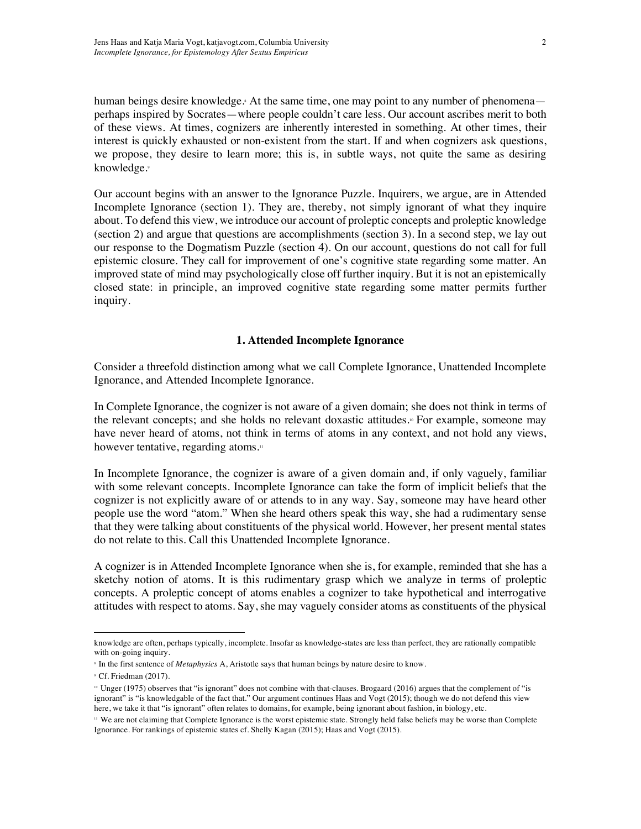human beings desire knowledge. At the same time, one may point to any number of phenomena perhaps inspired by Socrates—where people couldn't care less. Our account ascribes merit to both of these views. At times, cognizers are inherently interested in something. At other times, their interest is quickly exhausted or non-existent from the start. If and when cognizers ask questions, we propose, they desire to learn more; this is, in subtle ways, not quite the same as desiring knowledge.<sup>9</sup>

Our account begins with an answer to the Ignorance Puzzle. Inquirers, we argue, are in Attended Incomplete Ignorance (section 1). They are, thereby, not simply ignorant of what they inquire about. To defend this view, we introduce our account of proleptic concepts and proleptic knowledge (section 2) and argue that questions are accomplishments (section 3). In a second step, we lay out our response to the Dogmatism Puzzle (section 4). On our account, questions do not call for full epistemic closure. They call for improvement of one's cognitive state regarding some matter. An improved state of mind may psychologically close off further inquiry. But it is not an epistemically closed state: in principle, an improved cognitive state regarding some matter permits further inquiry.

## **1. Attended Incomplete Ignorance**

Consider a threefold distinction among what we call Complete Ignorance, Unattended Incomplete Ignorance, and Attended Incomplete Ignorance.

In Complete Ignorance, the cognizer is not aware of a given domain; she does not think in terms of the relevant concepts; and she holds no relevant doxastic attitudes.10 For example, someone may have never heard of atoms, not think in terms of atoms in any context, and not hold any views, however tentative, regarding atoms.<sup>11</sup>

In Incomplete Ignorance, the cognizer is aware of a given domain and, if only vaguely, familiar with some relevant concepts. Incomplete Ignorance can take the form of implicit beliefs that the cognizer is not explicitly aware of or attends to in any way. Say, someone may have heard other people use the word "atom." When she heard others speak this way, she had a rudimentary sense that they were talking about constituents of the physical world. However, her present mental states do not relate to this. Call this Unattended Incomplete Ignorance.

A cognizer is in Attended Incomplete Ignorance when she is, for example, reminded that she has a sketchy notion of atoms. It is this rudimentary grasp which we analyze in terms of proleptic concepts. A proleptic concept of atoms enables a cognizer to take hypothetical and interrogative attitudes with respect to atoms. Say, she may vaguely consider atoms as constituents of the physical

knowledge are often, perhaps typically, incomplete. Insofar as knowledge-states are less than perfect, they are rationally compatible with on-going inquiry.

<sup>8</sup> In the first sentence of *Metaphysics* A, Aristotle says that human beings by nature desire to know.

<sup>&</sup>lt;sup>9</sup> Cf. Friedman (2017).

<sup>&</sup>lt;sup>10</sup> Unger (1975) observes that "is ignorant" does not combine with that-clauses. Brogaard (2016) argues that the complement of "is ignorant" is "is knowledgable of the fact that." Our argument continues Haas and Vogt (2015); though we do not defend this view here, we take it that "is ignorant" often relates to domains, for example, being ignorant about fashion, in biology, etc.

<sup>&</sup>lt;sup>11</sup> We are not claiming that Complete Ignorance is the worst epistemic state. Strongly held false beliefs may be worse than Complete Ignorance. For rankings of epistemic states cf. Shelly Kagan (2015); Haas and Vogt (2015).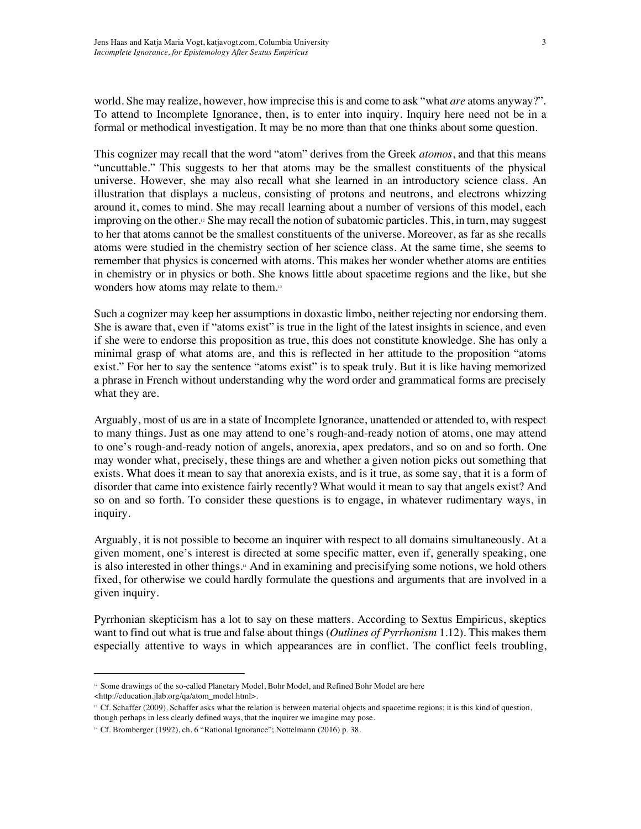world. She may realize, however, how imprecise this is and come to ask "what *are* atoms anyway?". To attend to Incomplete Ignorance, then, is to enter into inquiry. Inquiry here need not be in a formal or methodical investigation. It may be no more than that one thinks about some question.

This cognizer may recall that the word "atom" derives from the Greek *atomos*, and that this means "uncuttable." This suggests to her that atoms may be the smallest constituents of the physical universe. However, she may also recall what she learned in an introductory science class. An illustration that displays a nucleus, consisting of protons and neutrons, and electrons whizzing around it, comes to mind. She may recall learning about a number of versions of this model, each improving on the other.12 She may recall the notion of subatomic particles. This, in turn, may suggest to her that atoms cannot be the smallest constituents of the universe. Moreover, as far as she recalls atoms were studied in the chemistry section of her science class. At the same time, she seems to remember that physics is concerned with atoms. This makes her wonder whether atoms are entities in chemistry or in physics or both. She knows little about spacetime regions and the like, but she wonders how atoms may relate to them.13

Such a cognizer may keep her assumptions in doxastic limbo, neither rejecting nor endorsing them. She is aware that, even if "atoms exist" is true in the light of the latest insights in science, and even if she were to endorse this proposition as true, this does not constitute knowledge. She has only a minimal grasp of what atoms are, and this is reflected in her attitude to the proposition "atoms exist." For her to say the sentence "atoms exist" is to speak truly. But it is like having memorized a phrase in French without understanding why the word order and grammatical forms are precisely what they are.

Arguably, most of us are in a state of Incomplete Ignorance, unattended or attended to, with respect to many things. Just as one may attend to one's rough-and-ready notion of atoms, one may attend to one's rough-and-ready notion of angels, anorexia, apex predators, and so on and so forth. One may wonder what, precisely, these things are and whether a given notion picks out something that exists. What does it mean to say that anorexia exists, and is it true, as some say, that it is a form of disorder that came into existence fairly recently? What would it mean to say that angels exist? And so on and so forth. To consider these questions is to engage, in whatever rudimentary ways, in inquiry.

Arguably, it is not possible to become an inquirer with respect to all domains simultaneously. At a given moment, one's interest is directed at some specific matter, even if, generally speaking, one is also interested in other things.14 And in examining and precisifying some notions, we hold others fixed, for otherwise we could hardly formulate the questions and arguments that are involved in a given inquiry.

Pyrrhonian skepticism has a lot to say on these matters. According to Sextus Empiricus, skeptics want to find out what is true and false about things (*Outlines of Pyrrhonism* 1.12). This makes them especially attentive to ways in which appearances are in conflict. The conflict feels troubling,

<sup>&</sup>lt;sup>12</sup> Some drawings of the so-called Planetary Model, Bohr Model, and Refined Bohr Model are here

<sup>&</sup>lt;http://education.jlab.org/qa/atom\_model.html>.

<sup>&</sup>lt;sup>13</sup> Cf. Schaffer (2009). Schaffer asks what the relation is between material objects and spacetime regions; it is this kind of question, though perhaps in less clearly defined ways, that the inquirer we imagine may pose.

<sup>&</sup>lt;sup>14</sup> Cf. Bromberger (1992), ch. 6 "Rational Ignorance"; Nottelmann (2016) p. 38.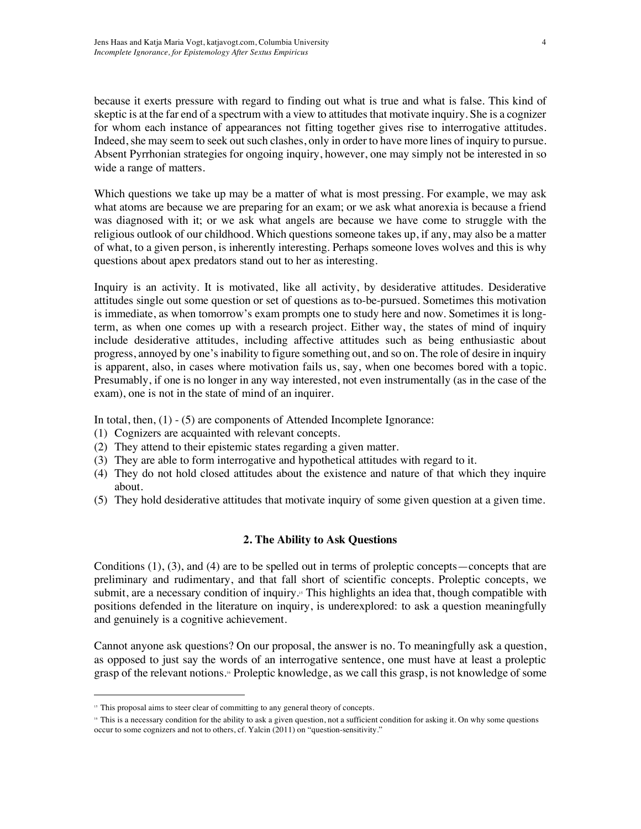because it exerts pressure with regard to finding out what is true and what is false. This kind of skeptic is at the far end of a spectrum with a view to attitudes that motivate inquiry. She is a cognizer for whom each instance of appearances not fitting together gives rise to interrogative attitudes. Indeed, she may seem to seek out such clashes, only in order to have more lines of inquiry to pursue. Absent Pyrrhonian strategies for ongoing inquiry, however, one may simply not be interested in so wide a range of matters.

Which questions we take up may be a matter of what is most pressing. For example, we may ask what atoms are because we are preparing for an exam; or we ask what anorexia is because a friend was diagnosed with it; or we ask what angels are because we have come to struggle with the religious outlook of our childhood. Which questions someone takes up, if any, may also be a matter of what, to a given person, is inherently interesting. Perhaps someone loves wolves and this is why questions about apex predators stand out to her as interesting.

Inquiry is an activity. It is motivated, like all activity, by desiderative attitudes. Desiderative attitudes single out some question or set of questions as to-be-pursued. Sometimes this motivation is immediate, as when tomorrow's exam prompts one to study here and now. Sometimes it is longterm, as when one comes up with a research project. Either way, the states of mind of inquiry include desiderative attitudes, including affective attitudes such as being enthusiastic about progress, annoyed by one's inability to figure something out, and so on. The role of desire in inquiry is apparent, also, in cases where motivation fails us, say, when one becomes bored with a topic. Presumably, if one is no longer in any way interested, not even instrumentally (as in the case of the exam), one is not in the state of mind of an inquirer.

In total, then, (1) - (5) are components of Attended Incomplete Ignorance:

- (1) Cognizers are acquainted with relevant concepts.
- (2) They attend to their epistemic states regarding a given matter.
- (3) They are able to form interrogative and hypothetical attitudes with regard to it.
- (4) They do not hold closed attitudes about the existence and nature of that which they inquire about.
- (5) They hold desiderative attitudes that motivate inquiry of some given question at a given time.

### **2. The Ability to Ask Questions**

Conditions (1), (3), and (4) are to be spelled out in terms of proleptic concepts—concepts that are preliminary and rudimentary, and that fall short of scientific concepts. Proleptic concepts, we submit, are a necessary condition of inquiry.<sup>15</sup> This highlights an idea that, though compatible with positions defended in the literature on inquiry, is underexplored: to ask a question meaningfully and genuinely is a cognitive achievement.

Cannot anyone ask questions? On our proposal, the answer is no. To meaningfully ask a question, as opposed to just say the words of an interrogative sentence, one must have at least a proleptic grasp of the relevant notions.<sup>16</sup> Proleptic knowledge, as we call this grasp, is not knowledge of some

<sup>&</sup>lt;sup>15</sup> This proposal aims to steer clear of committing to any general theory of concepts.

<sup>&</sup>lt;sup>16</sup> This is a necessary condition for the ability to ask a given question, not a sufficient condition for asking it. On why some questions occur to some cognizers and not to others, cf. Yalcin (2011) on "question-sensitivity."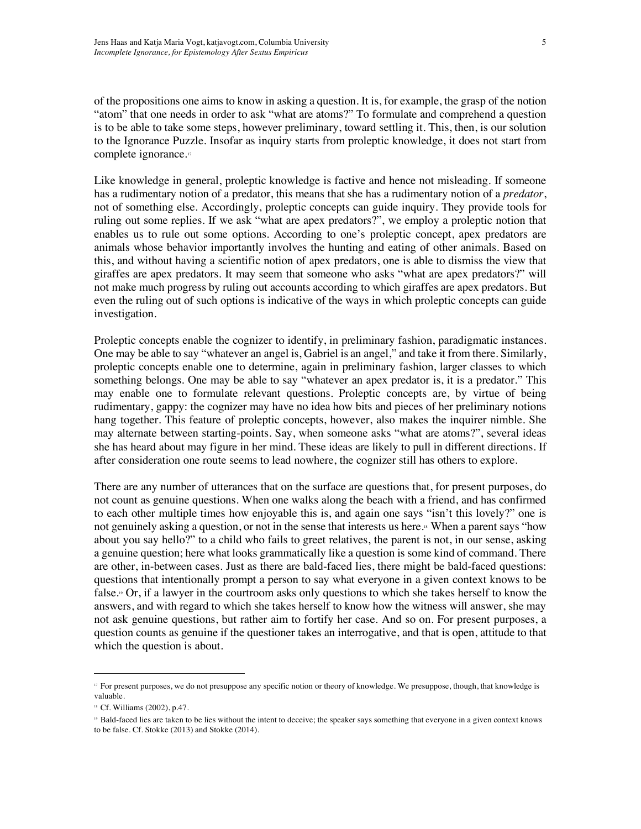of the propositions one aims to know in asking a question. It is, for example, the grasp of the notion "atom" that one needs in order to ask "what are atoms?" To formulate and comprehend a question is to be able to take some steps, however preliminary, toward settling it. This, then, is our solution to the Ignorance Puzzle. Insofar as inquiry starts from proleptic knowledge, it does not start from complete ignorance.<sup>17</sup>

Like knowledge in general, proleptic knowledge is factive and hence not misleading. If someone has a rudimentary notion of a predator, this means that she has a rudimentary notion of a *predator*, not of something else. Accordingly, proleptic concepts can guide inquiry. They provide tools for ruling out some replies. If we ask "what are apex predators?", we employ a proleptic notion that enables us to rule out some options. According to one's proleptic concept, apex predators are animals whose behavior importantly involves the hunting and eating of other animals. Based on this, and without having a scientific notion of apex predators, one is able to dismiss the view that giraffes are apex predators. It may seem that someone who asks "what are apex predators?" will not make much progress by ruling out accounts according to which giraffes are apex predators. But even the ruling out of such options is indicative of the ways in which proleptic concepts can guide investigation.

Proleptic concepts enable the cognizer to identify, in preliminary fashion, paradigmatic instances. One may be able to say "whatever an angel is, Gabriel is an angel," and take it from there. Similarly, proleptic concepts enable one to determine, again in preliminary fashion, larger classes to which something belongs. One may be able to say "whatever an apex predator is, it is a predator." This may enable one to formulate relevant questions. Proleptic concepts are, by virtue of being rudimentary, gappy: the cognizer may have no idea how bits and pieces of her preliminary notions hang together. This feature of proleptic concepts, however, also makes the inquirer nimble. She may alternate between starting-points. Say, when someone asks "what are atoms?", several ideas she has heard about may figure in her mind. These ideas are likely to pull in different directions. If after consideration one route seems to lead nowhere, the cognizer still has others to explore.

There are any number of utterances that on the surface are questions that, for present purposes, do not count as genuine questions. When one walks along the beach with a friend, and has confirmed to each other multiple times how enjoyable this is, and again one says "isn't this lovely?" one is not genuinely asking a question, or not in the sense that interests us here.<sup>8</sup> When a parent says "how about you say hello?" to a child who fails to greet relatives, the parent is not, in our sense, asking a genuine question; here what looks grammatically like a question is some kind of command. There are other, in-between cases. Just as there are bald-faced lies, there might be bald-faced questions: questions that intentionally prompt a person to say what everyone in a given context knows to be false.19 Or, if a lawyer in the courtroom asks only questions to which she takes herself to know the answers, and with regard to which she takes herself to know how the witness will answer, she may not ask genuine questions, but rather aim to fortify her case. And so on. For present purposes, a question counts as genuine if the questioner takes an interrogative, and that is open, attitude to that which the question is about.

<sup>&</sup>lt;sup>17</sup> For present purposes, we do not presuppose any specific notion or theory of knowledge. We presuppose, though, that knowledge is valuable.

<sup>18</sup> Cf. Williams (2002), p.47.

<sup>19</sup> Bald-faced lies are taken to be lies without the intent to deceive; the speaker says something that everyone in a given context knows to be false. Cf. Stokke (2013) and Stokke (2014).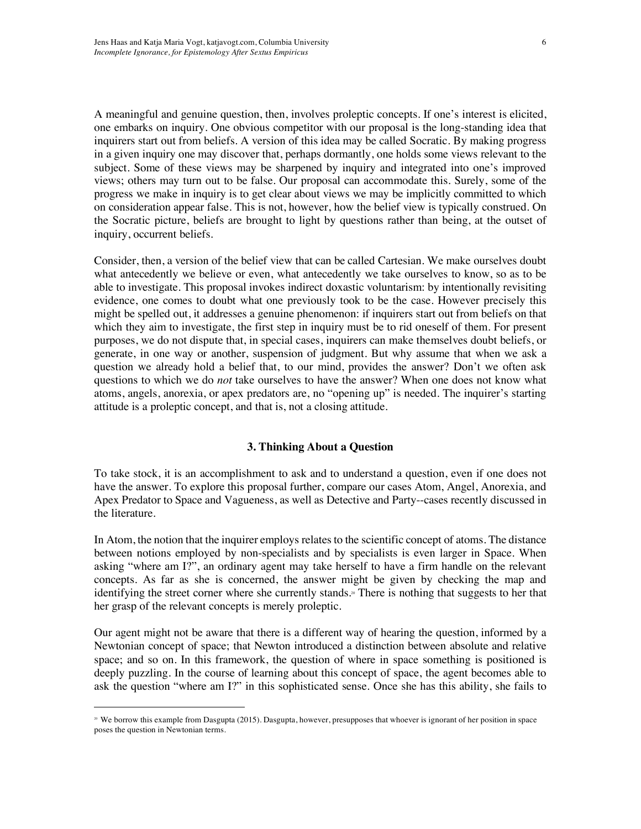A meaningful and genuine question, then, involves proleptic concepts. If one's interest is elicited, one embarks on inquiry. One obvious competitor with our proposal is the long-standing idea that inquirers start out from beliefs. A version of this idea may be called Socratic. By making progress in a given inquiry one may discover that, perhaps dormantly, one holds some views relevant to the subject. Some of these views may be sharpened by inquiry and integrated into one's improved views; others may turn out to be false. Our proposal can accommodate this. Surely, some of the progress we make in inquiry is to get clear about views we may be implicitly committed to which on consideration appear false. This is not, however, how the belief view is typically construed. On the Socratic picture, beliefs are brought to light by questions rather than being, at the outset of inquiry, occurrent beliefs.

Consider, then, a version of the belief view that can be called Cartesian. We make ourselves doubt what antecedently we believe or even, what antecedently we take ourselves to know, so as to be able to investigate. This proposal invokes indirect doxastic voluntarism: by intentionally revisiting evidence, one comes to doubt what one previously took to be the case. However precisely this might be spelled out, it addresses a genuine phenomenon: if inquirers start out from beliefs on that which they aim to investigate, the first step in inquiry must be to rid oneself of them. For present purposes, we do not dispute that, in special cases, inquirers can make themselves doubt beliefs, or generate, in one way or another, suspension of judgment. But why assume that when we ask a question we already hold a belief that, to our mind, provides the answer? Don't we often ask questions to which we do *not* take ourselves to have the answer? When one does not know what atoms, angels, anorexia, or apex predators are, no "opening up" is needed. The inquirer's starting attitude is a proleptic concept, and that is, not a closing attitude.

#### **3. Thinking About a Question**

To take stock, it is an accomplishment to ask and to understand a question, even if one does not have the answer. To explore this proposal further, compare our cases Atom, Angel, Anorexia, and Apex Predator to Space and Vagueness, as well as Detective and Party--cases recently discussed in the literature.

In Atom, the notion that the inquirer employs relates to the scientific concept of atoms. The distance between notions employed by non-specialists and by specialists is even larger in Space. When asking "where am I?", an ordinary agent may take herself to have a firm handle on the relevant concepts. As far as she is concerned, the answer might be given by checking the map and identifying the street corner where she currently stands.<sup>30</sup> There is nothing that suggests to her that her grasp of the relevant concepts is merely proleptic.

Our agent might not be aware that there is a different way of hearing the question, informed by a Newtonian concept of space; that Newton introduced a distinction between absolute and relative space; and so on. In this framework, the question of where in space something is positioned is deeply puzzling. In the course of learning about this concept of space, the agent becomes able to ask the question "where am I?" in this sophisticated sense. Once she has this ability, she fails to

<sup>&</sup>lt;sup>20</sup> We borrow this example from Dasgupta (2015). Dasgupta, however, presupposes that whoever is ignorant of her position in space poses the question in Newtonian terms.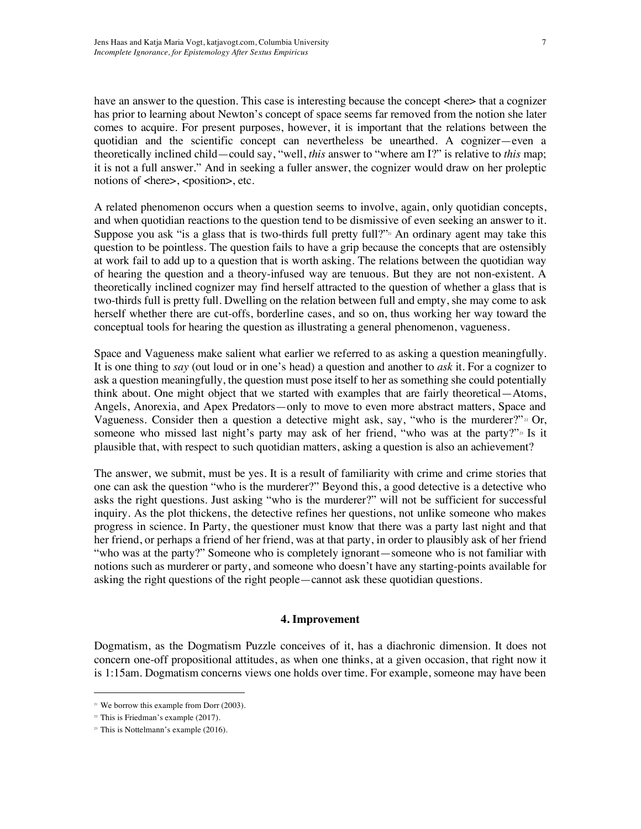have an answer to the question. This case is interesting because the concept <here> that a cognizer has prior to learning about Newton's concept of space seems far removed from the notion she later comes to acquire. For present purposes, however, it is important that the relations between the quotidian and the scientific concept can nevertheless be unearthed. A cognizer—even a theoretically inclined child—could say, "well, *this* answer to "where am I?" is relative to *this* map; it is not a full answer." And in seeking a fuller answer, the cognizer would draw on her proleptic notions of <here>, <position>, etc.

A related phenomenon occurs when a question seems to involve, again, only quotidian concepts, and when quotidian reactions to the question tend to be dismissive of even seeking an answer to it. Suppose you ask "is a glass that is two-thirds full pretty full?" $\alpha$  An ordinary agent may take this question to be pointless. The question fails to have a grip because the concepts that are ostensibly at work fail to add up to a question that is worth asking. The relations between the quotidian way of hearing the question and a theory-infused way are tenuous. But they are not non-existent. A theoretically inclined cognizer may find herself attracted to the question of whether a glass that is two-thirds full is pretty full. Dwelling on the relation between full and empty, she may come to ask herself whether there are cut-offs, borderline cases, and so on, thus working her way toward the conceptual tools for hearing the question as illustrating a general phenomenon, vagueness.

Space and Vagueness make salient what earlier we referred to as asking a question meaningfully. It is one thing to *say* (out loud or in one's head) a question and another to *ask* it. For a cognizer to ask a question meaningfully, the question must pose itself to her as something she could potentially think about. One might object that we started with examples that are fairly theoretical—Atoms, Angels, Anorexia, and Apex Predators—only to move to even more abstract matters, Space and Vagueness. Consider then a question a detective might ask, say, "who is the murderer?"<sup>2</sup> Or, someone who missed last night's party may ask of her friend, "who was at the party?"<sup>23</sup> Is it plausible that, with respect to such quotidian matters, asking a question is also an achievement?

The answer, we submit, must be yes. It is a result of familiarity with crime and crime stories that one can ask the question "who is the murderer?" Beyond this, a good detective is a detective who asks the right questions. Just asking "who is the murderer?" will not be sufficient for successful inquiry. As the plot thickens, the detective refines her questions, not unlike someone who makes progress in science. In Party, the questioner must know that there was a party last night and that her friend, or perhaps a friend of her friend, was at that party, in order to plausibly ask of her friend "who was at the party?" Someone who is completely ignorant—someone who is not familiar with notions such as murderer or party, and someone who doesn't have any starting-points available for asking the right questions of the right people—cannot ask these quotidian questions.

## **4. Improvement**

Dogmatism, as the Dogmatism Puzzle conceives of it, has a diachronic dimension. It does not concern one-off propositional attitudes, as when one thinks, at a given occasion, that right now it is 1:15am. Dogmatism concerns views one holds over time. For example, someone may have been

 $21$  We borrow this example from Dorr (2003).

<sup>&</sup>lt;sup>22</sup> This is Friedman's example (2017).

 $23$  This is Nottelmann's example (2016).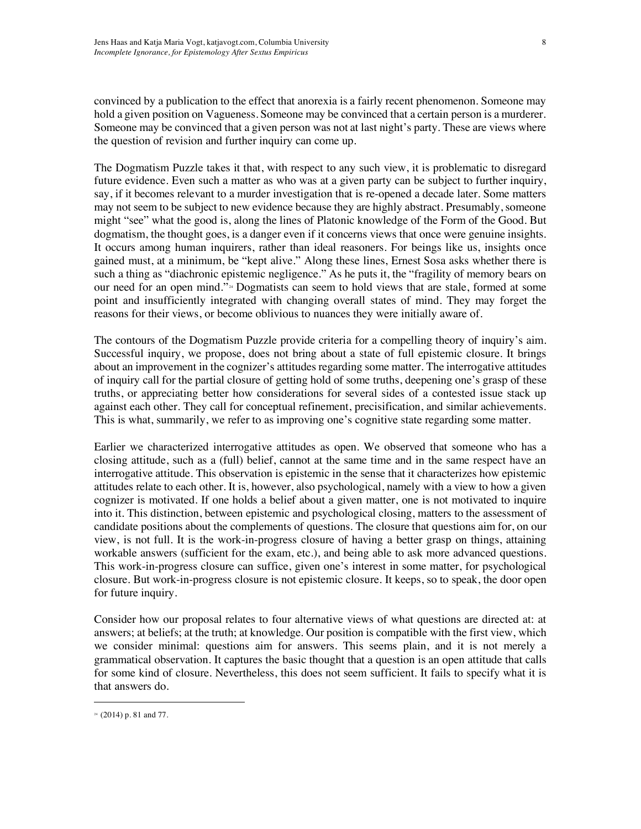convinced by a publication to the effect that anorexia is a fairly recent phenomenon. Someone may hold a given position on Vagueness. Someone may be convinced that a certain person is a murderer. Someone may be convinced that a given person was not at last night's party. These are views where the question of revision and further inquiry can come up.

The Dogmatism Puzzle takes it that, with respect to any such view, it is problematic to disregard future evidence. Even such a matter as who was at a given party can be subject to further inquiry, say, if it becomes relevant to a murder investigation that is re-opened a decade later. Some matters may not seem to be subject to new evidence because they are highly abstract. Presumably, someone might "see" what the good is, along the lines of Platonic knowledge of the Form of the Good. But dogmatism, the thought goes, is a danger even if it concerns views that once were genuine insights. It occurs among human inquirers, rather than ideal reasoners. For beings like us, insights once gained must, at a minimum, be "kept alive." Along these lines, Ernest Sosa asks whether there is such a thing as "diachronic epistemic negligence." As he puts it, the "fragility of memory bears on our need for an open mind."<sup>24</sup> Dogmatists can seem to hold views that are stale, formed at some point and insufficiently integrated with changing overall states of mind. They may forget the reasons for their views, or become oblivious to nuances they were initially aware of.

The contours of the Dogmatism Puzzle provide criteria for a compelling theory of inquiry's aim. Successful inquiry, we propose, does not bring about a state of full epistemic closure. It brings about an improvement in the cognizer's attitudes regarding some matter. The interrogative attitudes of inquiry call for the partial closure of getting hold of some truths, deepening one's grasp of these truths, or appreciating better how considerations for several sides of a contested issue stack up against each other. They call for conceptual refinement, precisification, and similar achievements. This is what, summarily, we refer to as improving one's cognitive state regarding some matter.

Earlier we characterized interrogative attitudes as open. We observed that someone who has a closing attitude, such as a (full) belief, cannot at the same time and in the same respect have an interrogative attitude. This observation is epistemic in the sense that it characterizes how epistemic attitudes relate to each other. It is, however, also psychological, namely with a view to how a given cognizer is motivated. If one holds a belief about a given matter, one is not motivated to inquire into it. This distinction, between epistemic and psychological closing, matters to the assessment of candidate positions about the complements of questions. The closure that questions aim for, on our view, is not full. It is the work-in-progress closure of having a better grasp on things, attaining workable answers (sufficient for the exam, etc.), and being able to ask more advanced questions. This work-in-progress closure can suffice, given one's interest in some matter, for psychological closure. But work-in-progress closure is not epistemic closure. It keeps, so to speak, the door open for future inquiry.

Consider how our proposal relates to four alternative views of what questions are directed at: at answers; at beliefs; at the truth; at knowledge. Our position is compatible with the first view, which we consider minimal: questions aim for answers. This seems plain, and it is not merely a grammatical observation. It captures the basic thought that a question is an open attitude that calls for some kind of closure. Nevertheless, this does not seem sufficient. It fails to specify what it is that answers do.

<sup>24</sup> (2014) p. 81 and 77.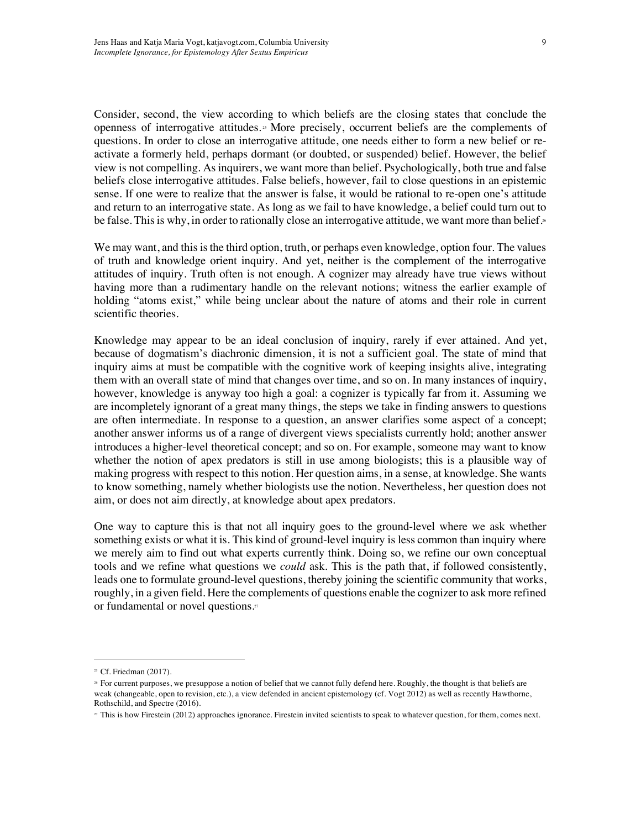Consider, second, the view according to which beliefs are the closing states that conclude the openness of interrogative attitudes. $\approx$  More precisely, occurrent beliefs are the complements of questions. In order to close an interrogative attitude, one needs either to form a new belief or reactivate a formerly held, perhaps dormant (or doubted, or suspended) belief. However, the belief view is not compelling. As inquirers, we want more than belief. Psychologically, both true and false beliefs close interrogative attitudes. False beliefs, however, fail to close questions in an epistemic sense. If one were to realize that the answer is false, it would be rational to re-open one's attitude and return to an interrogative state. As long as we fail to have knowledge, a belief could turn out to be false. This is why, in order to rationally close an interrogative attitude, we want more than belief.

We may want, and this is the third option, truth, or perhaps even knowledge, option four. The values of truth and knowledge orient inquiry. And yet, neither is the complement of the interrogative attitudes of inquiry. Truth often is not enough. A cognizer may already have true views without having more than a rudimentary handle on the relevant notions; witness the earlier example of holding "atoms exist," while being unclear about the nature of atoms and their role in current scientific theories.

Knowledge may appear to be an ideal conclusion of inquiry, rarely if ever attained. And yet, because of dogmatism's diachronic dimension, it is not a sufficient goal. The state of mind that inquiry aims at must be compatible with the cognitive work of keeping insights alive, integrating them with an overall state of mind that changes over time, and so on. In many instances of inquiry, however, knowledge is anyway too high a goal: a cognizer is typically far from it. Assuming we are incompletely ignorant of a great many things, the steps we take in finding answers to questions are often intermediate. In response to a question, an answer clarifies some aspect of a concept; another answer informs us of a range of divergent views specialists currently hold; another answer introduces a higher-level theoretical concept; and so on. For example, someone may want to know whether the notion of apex predators is still in use among biologists; this is a plausible way of making progress with respect to this notion. Her question aims, in a sense, at knowledge. She wants to know something, namely whether biologists use the notion. Nevertheless, her question does not aim, or does not aim directly, at knowledge about apex predators.

One way to capture this is that not all inquiry goes to the ground-level where we ask whether something exists or what it is. This kind of ground-level inquiry is less common than inquiry where we merely aim to find out what experts currently think. Doing so, we refine our own conceptual tools and we refine what questions we *could* ask. This is the path that, if followed consistently, leads one to formulate ground-level questions, thereby joining the scientific community that works, roughly, in a given field. Here the complements of questions enable the cognizer to ask more refined or fundamental or novel questions.<sup>27</sup>

 $25$  Cf. Friedman (2017).

<sup>&</sup>lt;sup>26</sup> For current purposes, we presuppose a notion of belief that we cannot fully defend here. Roughly, the thought is that beliefs are weak (changeable, open to revision, etc.), a view defended in ancient epistemology (cf. Vogt 2012) as well as recently Hawthorne, Rothschild, and Spectre (2016).

<sup>&</sup>lt;sup>27</sup> This is how Firestein (2012) approaches ignorance. Firestein invited scientists to speak to whatever question, for them, comes next.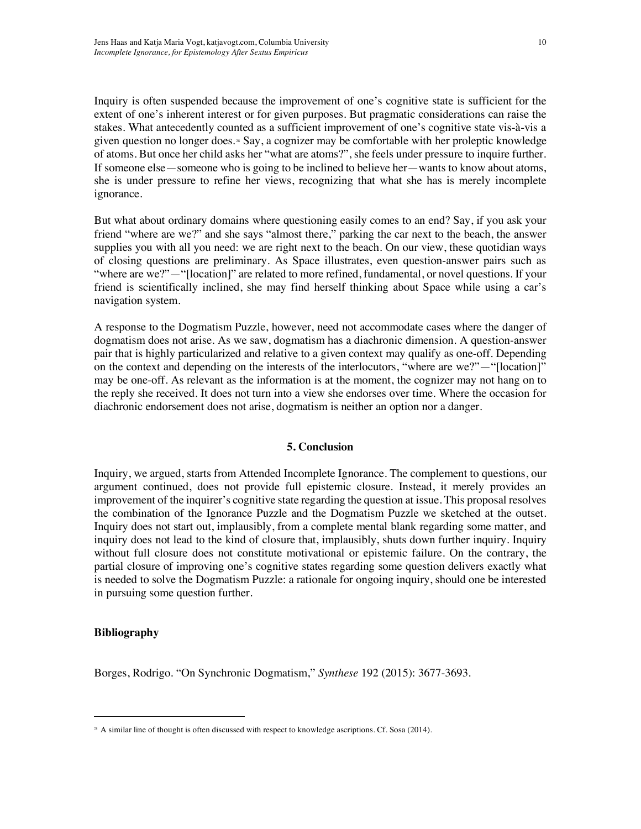Inquiry is often suspended because the improvement of one's cognitive state is sufficient for the extent of one's inherent interest or for given purposes. But pragmatic considerations can raise the stakes. What antecedently counted as a sufficient improvement of one's cognitive state vis-à-vis a given question no longer does.<sup>38</sup> Say, a cognizer may be comfortable with her proleptic knowledge of atoms. But once her child asks her "what are atoms?", she feels under pressure to inquire further. If someone else—someone who is going to be inclined to believe her—wants to know about atoms, she is under pressure to refine her views, recognizing that what she has is merely incomplete ignorance.

But what about ordinary domains where questioning easily comes to an end? Say, if you ask your friend "where are we?" and she says "almost there," parking the car next to the beach, the answer supplies you with all you need: we are right next to the beach. On our view, these quotidian ways of closing questions are preliminary. As Space illustrates, even question-answer pairs such as "where are we?"—"[location]" are related to more refined, fundamental, or novel questions. If your friend is scientifically inclined, she may find herself thinking about Space while using a car's navigation system.

A response to the Dogmatism Puzzle, however, need not accommodate cases where the danger of dogmatism does not arise. As we saw, dogmatism has a diachronic dimension. A question-answer pair that is highly particularized and relative to a given context may qualify as one-off. Depending on the context and depending on the interests of the interlocutors, "where are we?"—"[location]" may be one-off. As relevant as the information is at the moment, the cognizer may not hang on to the reply she received. It does not turn into a view she endorses over time. Where the occasion for diachronic endorsement does not arise, dogmatism is neither an option nor a danger.

## **5. Conclusion**

Inquiry, we argued, starts from Attended Incomplete Ignorance. The complement to questions, our argument continued, does not provide full epistemic closure. Instead, it merely provides an improvement of the inquirer's cognitive state regarding the question at issue. This proposal resolves the combination of the Ignorance Puzzle and the Dogmatism Puzzle we sketched at the outset. Inquiry does not start out, implausibly, from a complete mental blank regarding some matter, and inquiry does not lead to the kind of closure that, implausibly, shuts down further inquiry. Inquiry without full closure does not constitute motivational or epistemic failure. On the contrary, the partial closure of improving one's cognitive states regarding some question delivers exactly what is needed to solve the Dogmatism Puzzle: a rationale for ongoing inquiry, should one be interested in pursuing some question further.

### **Bibliography**

 $\overline{a}$ 

Borges, Rodrigo. "On Synchronic Dogmatism," *Synthese* 192 (2015): 3677-3693.

<sup>&</sup>lt;sup>28</sup> A similar line of thought is often discussed with respect to knowledge ascriptions. Cf. Sosa (2014).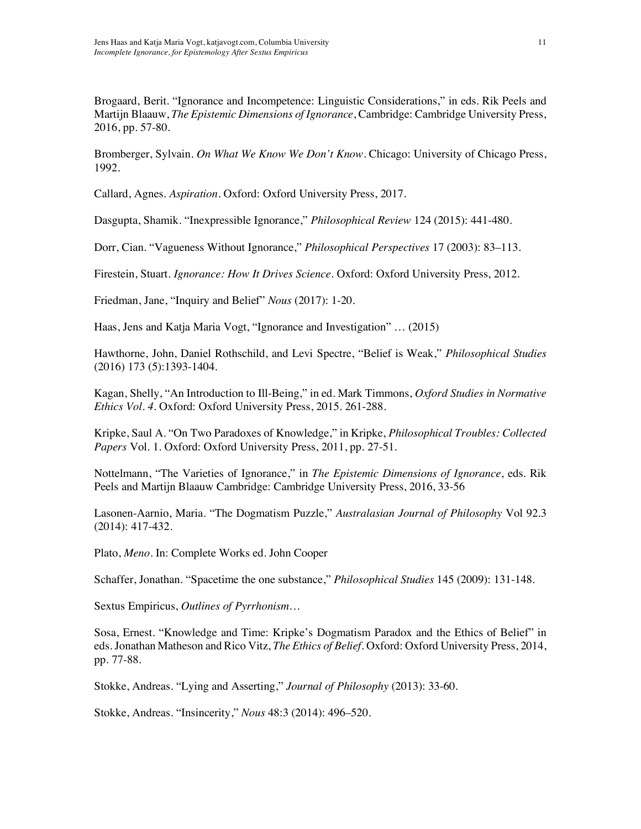Brogaard, Berit. "Ignorance and Incompetence: Linguistic Considerations," in eds. Rik Peels and Martijn Blaauw, *The Epistemic Dimensions of Ignorance*, Cambridge: Cambridge University Press, 2016, pp. 57-80.

Bromberger, Sylvain. *On What We Know We Don't Know*. Chicago: University of Chicago Press, 1992.

Callard, Agnes. *Aspiration*. Oxford: Oxford University Press, 2017.

Dasgupta, Shamik. "Inexpressible Ignorance," *Philosophical Review* 124 (2015): 441-480.

Dorr, Cian. "Vagueness Without Ignorance," *Philosophical Perspectives* 17 (2003): 83–113.

Firestein, Stuart. *Ignorance: How It Drives Science*. Oxford: Oxford University Press, 2012.

Friedman, Jane, "Inquiry and Belief" *Nous* (2017): 1-20.

Haas, Jens and Katja Maria Vogt, "Ignorance and Investigation" … (2015)

Hawthorne, John, Daniel Rothschild, and Levi Spectre, "Belief is Weak," *Philosophical Studies* (2016) 173 (5):1393-1404.

Kagan, Shelly, "An Introduction to Ill-Being," in ed. Mark Timmons, *Oxford Studies in Normative Ethics Vol. 4*. Oxford: Oxford University Press, 2015. 261-288.

Kripke, Saul A. "On Two Paradoxes of Knowledge," in Kripke, *Philosophical Troubles: Collected Papers* Vol. 1. Oxford: Oxford University Press, 2011, pp. 27-51.

Nottelmann, "The Varieties of Ignorance," in *The Epistemic Dimensions of Ignorance*, eds. Rik Peels and Martijn Blaauw Cambridge: Cambridge University Press, 2016, 33-56

Lasonen-Aarnio, Maria. "The Dogmatism Puzzle," *Australasian Journal of Philosophy* Vol 92.3 (2014): 417-432.

Plato, *Meno*. In: Complete Works ed. John Cooper

Schaffer, Jonathan. "Spacetime the one substance," *Philosophical Studies* 145 (2009): 131-148.

Sextus Empiricus, *Outlines of Pyrrhonism*…

Sosa, Ernest. "Knowledge and Time: Kripke's Dogmatism Paradox and the Ethics of Belief" in eds. Jonathan Matheson and Rico Vitz, *The Ethics of Belief*. Oxford: Oxford University Press, 2014, pp. 77-88.

Stokke, Andreas. "Lying and Asserting," *Journal of Philosophy* (2013): 33-60.

Stokke, Andreas. "Insincerity," *Nous* 48:3 (2014): 496–520.